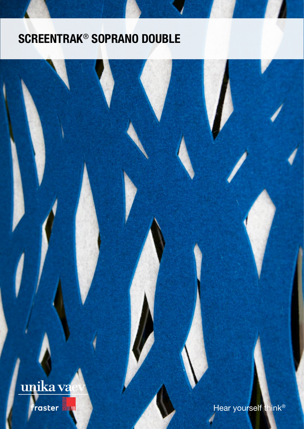# SCREENTRAK® SOPRANO DOUBLE

# unika va

raster **Figuul** 

Hear yourself think<sup>®</sup>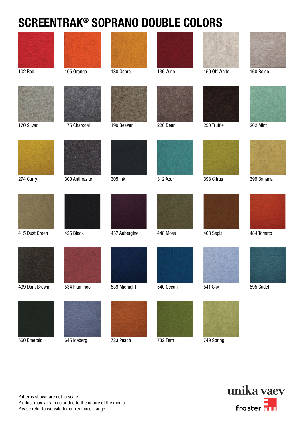## SCREENTRAK® SOPRANO DOUBLE COLORS



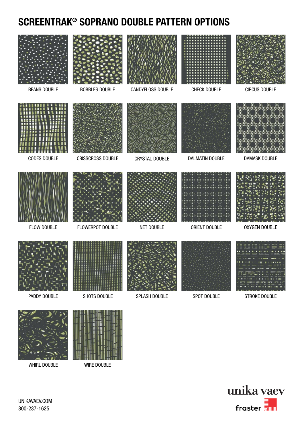### SCREENTRAK® SOPRANO DOUBLE PATTERN OPTIONS





WHIRL DOUBLE WIRE DOUBLE